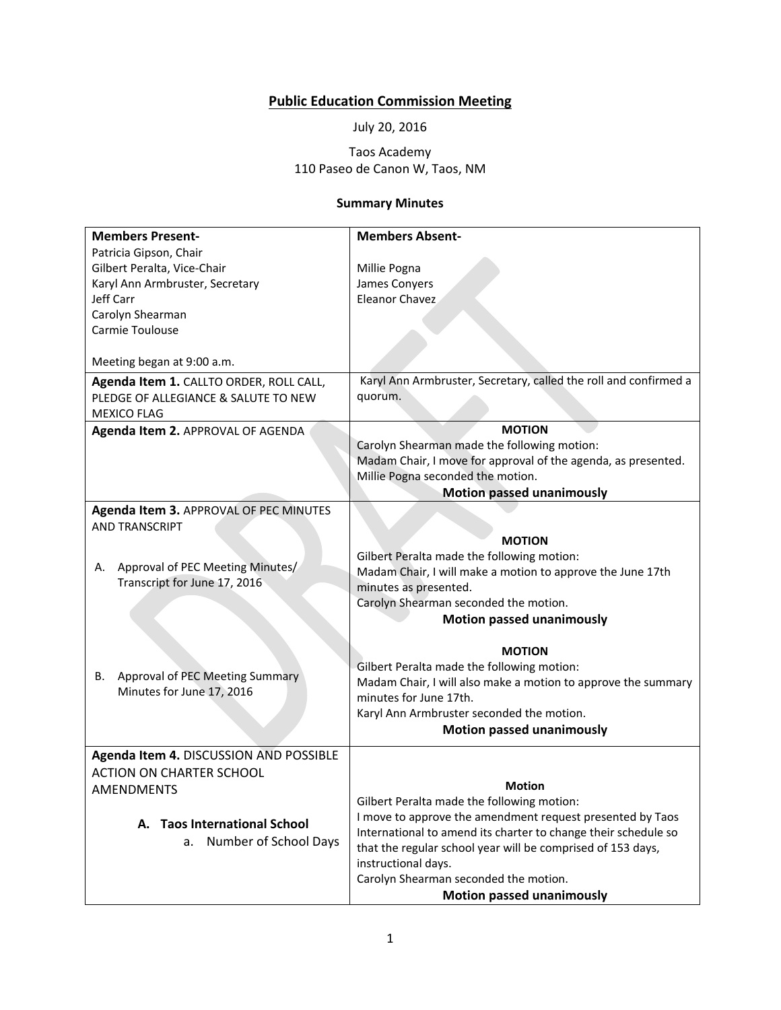## **Public Education Commission Meeting**

July 20, 2016

## Taos Academy 110 Paseo de Canon W, Taos, NM

## **Summary Minutes**

| <b>Members Present-</b>                                                                               | <b>Members Absent-</b>                                                      |
|-------------------------------------------------------------------------------------------------------|-----------------------------------------------------------------------------|
| Patricia Gipson, Chair                                                                                |                                                                             |
|                                                                                                       |                                                                             |
| Gilbert Peralta, Vice-Chair                                                                           | Millie Pogna                                                                |
| Karyl Ann Armbruster, Secretary                                                                       | James Conyers                                                               |
| Jeff Carr                                                                                             | <b>Eleanor Chavez</b>                                                       |
| Carolyn Shearman                                                                                      |                                                                             |
| Carmie Toulouse                                                                                       |                                                                             |
|                                                                                                       |                                                                             |
| Meeting began at 9:00 a.m.                                                                            |                                                                             |
| Agenda Item 1. CALLTO ORDER, ROLL CALL,<br>PLEDGE OF ALLEGIANCE & SALUTE TO NEW<br><b>MEXICO FLAG</b> | Karyl Ann Armbruster, Secretary, called the roll and confirmed a<br>quorum. |
| Agenda Item 2. APPROVAL OF AGENDA                                                                     | <b>MOTION</b>                                                               |
|                                                                                                       | Carolyn Shearman made the following motion:                                 |
|                                                                                                       | Madam Chair, I move for approval of the agenda, as presented.               |
|                                                                                                       | Millie Pogna seconded the motion.                                           |
|                                                                                                       | <b>Motion passed unanimously</b>                                            |
| Agenda Item 3. APPROVAL OF PEC MINUTES                                                                |                                                                             |
| <b>AND TRANSCRIPT</b>                                                                                 |                                                                             |
|                                                                                                       | <b>MOTION</b>                                                               |
|                                                                                                       | Gilbert Peralta made the following motion:                                  |
| Approval of PEC Meeting Minutes/<br>А.                                                                | Madam Chair, I will make a motion to approve the June 17th                  |
| Transcript for June 17, 2016                                                                          | minutes as presented.                                                       |
|                                                                                                       | Carolyn Shearman seconded the motion.                                       |
|                                                                                                       | <b>Motion passed unanimously</b>                                            |
|                                                                                                       |                                                                             |
|                                                                                                       | <b>MOTION</b>                                                               |
|                                                                                                       | Gilbert Peralta made the following motion:                                  |
| Approval of PEC Meeting Summary<br>В.                                                                 | Madam Chair, I will also make a motion to approve the summary               |
| Minutes for June 17, 2016                                                                             | minutes for June 17th.                                                      |
|                                                                                                       | Karyl Ann Armbruster seconded the motion.                                   |
|                                                                                                       | <b>Motion passed unanimously</b>                                            |
|                                                                                                       |                                                                             |
| Agenda Item 4. DISCUSSION AND POSSIBLE                                                                |                                                                             |
| <b>ACTION ON CHARTER SCHOOL</b>                                                                       |                                                                             |
| AMENDMENTS                                                                                            | <b>Motion</b>                                                               |
|                                                                                                       | Gilbert Peralta made the following motion:                                  |
| A. Taos International School                                                                          | I move to approve the amendment request presented by Taos                   |
| Number of School Days<br>а.                                                                           | International to amend its charter to change their schedule so              |
|                                                                                                       | that the regular school year will be comprised of 153 days,                 |
|                                                                                                       | instructional days.                                                         |
|                                                                                                       | Carolyn Shearman seconded the motion.                                       |
|                                                                                                       | <b>Motion passed unanimously</b>                                            |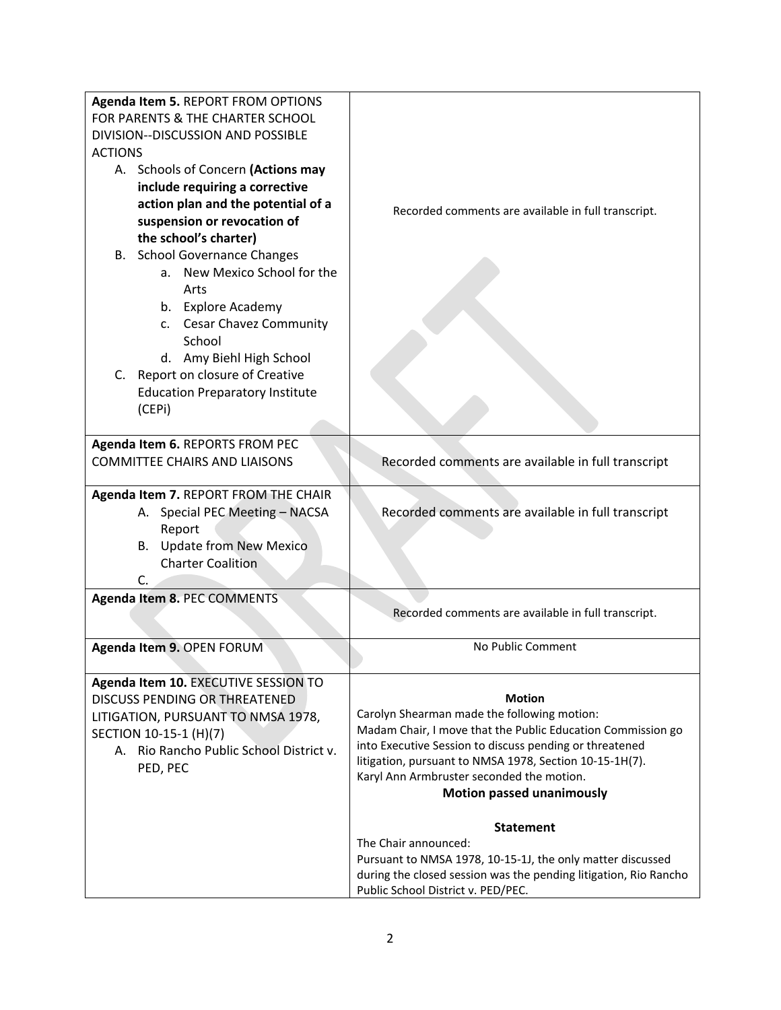| Agenda Item 5. REPORT FROM OPTIONS      |                                                                                                                        |
|-----------------------------------------|------------------------------------------------------------------------------------------------------------------------|
| FOR PARENTS & THE CHARTER SCHOOL        |                                                                                                                        |
| DIVISION--DISCUSSION AND POSSIBLE       |                                                                                                                        |
| <b>ACTIONS</b>                          |                                                                                                                        |
| A. Schools of Concern (Actions may      |                                                                                                                        |
| include requiring a corrective          |                                                                                                                        |
| action plan and the potential of a      |                                                                                                                        |
| suspension or revocation of             | Recorded comments are available in full transcript.                                                                    |
| the school's charter)                   |                                                                                                                        |
| B. School Governance Changes            |                                                                                                                        |
| a. New Mexico School for the            |                                                                                                                        |
| Arts                                    |                                                                                                                        |
| b. Explore Academy                      |                                                                                                                        |
| c. Cesar Chavez Community               |                                                                                                                        |
| School                                  |                                                                                                                        |
| d. Amy Biehl High School                |                                                                                                                        |
| Report on closure of Creative<br>C.     |                                                                                                                        |
| <b>Education Preparatory Institute</b>  |                                                                                                                        |
| (CEPi)                                  |                                                                                                                        |
|                                         |                                                                                                                        |
| Agenda Item 6. REPORTS FROM PEC         |                                                                                                                        |
| <b>COMMITTEE CHAIRS AND LIAISONS</b>    | Recorded comments are available in full transcript                                                                     |
|                                         |                                                                                                                        |
| Agenda Item 7. REPORT FROM THE CHAIR    |                                                                                                                        |
| A. Special PEC Meeting - NACSA          | Recorded comments are available in full transcript                                                                     |
| Report                                  |                                                                                                                        |
| B. Update from New Mexico               |                                                                                                                        |
| <b>Charter Coalition</b>                |                                                                                                                        |
| C.                                      |                                                                                                                        |
| Agenda Item 8. PEC COMMENTS             |                                                                                                                        |
|                                         | Recorded comments are available in full transcript.                                                                    |
|                                         |                                                                                                                        |
| Agenda Item 9. OPEN FORUM               | No Public Comment                                                                                                      |
|                                         |                                                                                                                        |
| Agenda Item 10. EXECUTIVE SESSION TO    |                                                                                                                        |
| <b>DISCUSS PENDING OR THREATENED</b>    | <b>Motion</b>                                                                                                          |
| LITIGATION, PURSUANT TO NMSA 1978,      | Carolyn Shearman made the following motion:                                                                            |
| SECTION 10-15-1 (H)(7)                  | Madam Chair, I move that the Public Education Commission go<br>into Executive Session to discuss pending or threatened |
| A. Rio Rancho Public School District v. | litigation, pursuant to NMSA 1978, Section 10-15-1H(7).                                                                |
| PED, PEC                                | Karyl Ann Armbruster seconded the motion.                                                                              |
|                                         | <b>Motion passed unanimously</b>                                                                                       |
|                                         |                                                                                                                        |
|                                         | <b>Statement</b>                                                                                                       |
|                                         | The Chair announced:                                                                                                   |
|                                         | Pursuant to NMSA 1978, 10-15-1J, the only matter discussed                                                             |
|                                         | during the closed session was the pending litigation, Rio Rancho                                                       |
|                                         | Public School District v. PED/PEC.                                                                                     |